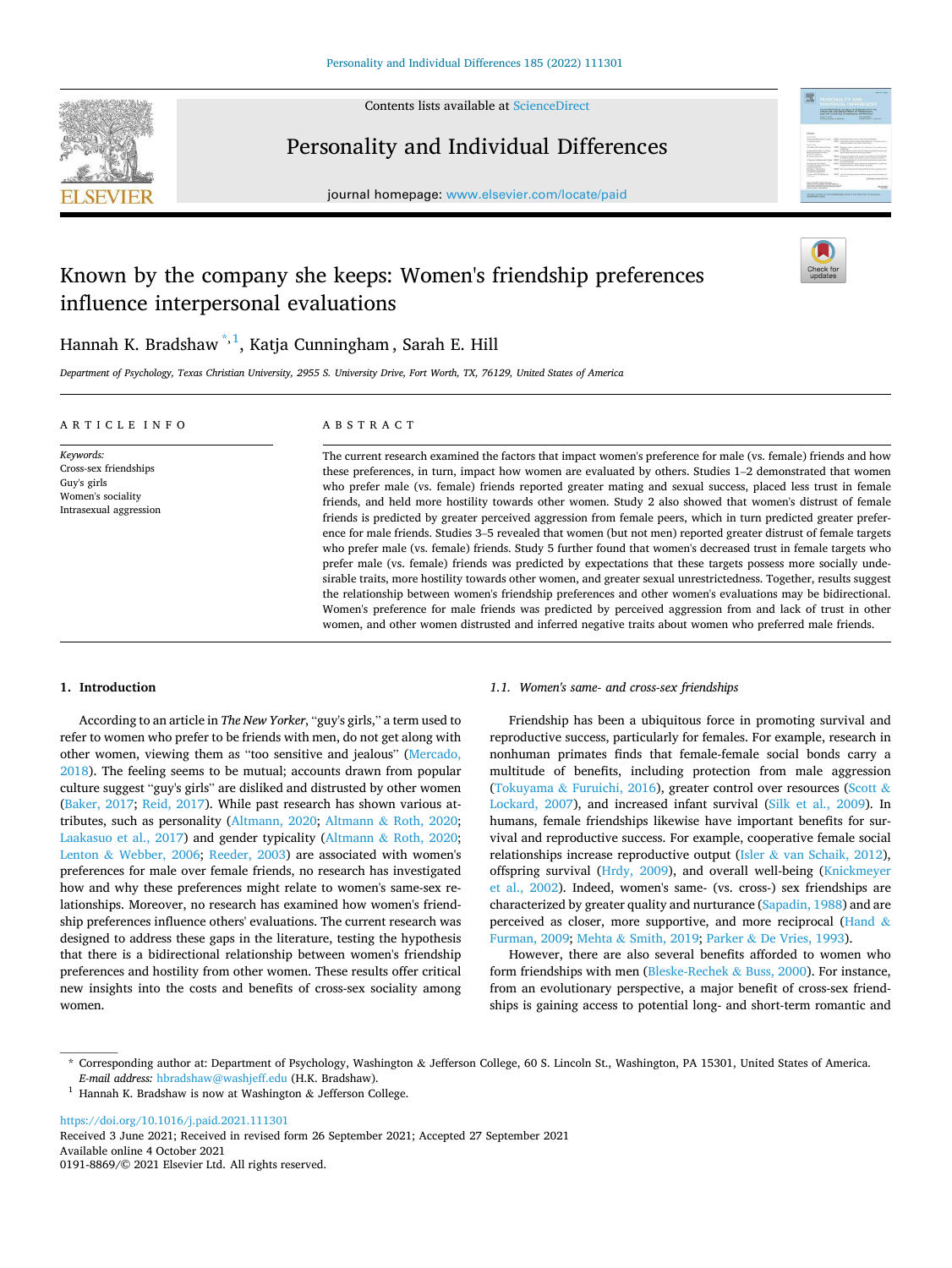

Contents lists available at [ScienceDirect](www.sciencedirect.com/science/journal/01918869)

# Personality and Individual Differences





# Known by the company she keeps: Women's friendship preferences influence interpersonal evaluations



Hannah K. Bradshaw<sup>\*, 1</sup>, Katja Cunningham, Sarah E. Hill

*Department of Psychology, Texas Christian University, 2955 S. University Drive, Fort Worth, TX, 76129, United States of America* 

#### A R T I C L E I N F O *Keywords:*  Cross-sex friendships Guy's girls Women's sociality Intrasexual aggression ABSTRACT The current research examined the factors that impact women's preference for male (vs. female) friends and how these preferences, in turn, impact how women are evaluated by others. Studies 1–2 demonstrated that women who prefer male (vs. female) friends reported greater mating and sexual success, placed less trust in female friends, and held more hostility towards other women. Study 2 also showed that women's distrust of female friends is predicted by greater perceived aggression from female peers, which in turn predicted greater preference for male friends. Studies 3–5 revealed that women (but not men) reported greater distrust of female targets who prefer male (vs. female) friends. Study 5 further found that women's decreased trust in female targets who prefer male (vs. female) friends was predicted by expectations that these targets possess more socially undesirable traits, more hostility towards other women, and greater sexual unrestrictedness. Together, results suggest the relationship between women's friendship preferences and other women's evaluations may be bidirectional. Women's preference for male friends was predicted by perceived aggression from and lack of trust in other

# **1. Introduction**

According to an article in *The New Yorker*, "guy's girls," a term used to refer to women who prefer to be friends with men, do not get along with other women, viewing them as "too sensitive and jealous" ([Mercado,](#page-9-0)  [2018\)](#page-9-0). The feeling seems to be mutual; accounts drawn from popular culture suggest "guy's girls" are disliked and distrusted by other women ([Baker, 2017;](#page-8-0) [Reid, 2017](#page-9-0)). While past research has shown various attributes, such as personality ([Altmann, 2020](#page-8-0); Altmann & [Roth, 2020](#page-8-0); [Laakasuo et al., 2017\)](#page-9-0) and gender typicality (Altmann & [Roth, 2020](#page-8-0); Lenton & [Webber, 2006](#page-9-0); [Reeder, 2003\)](#page-9-0) are associated with women's preferences for male over female friends, no research has investigated how and why these preferences might relate to women's same-sex relationships. Moreover, no research has examined how women's friendship preferences influence others' evaluations. The current research was designed to address these gaps in the literature, testing the hypothesis that there is a bidirectional relationship between women's friendship preferences and hostility from other women. These results offer critical new insights into the costs and benefits of cross-sex sociality among women.

#### *1.1. Women's same- and cross-sex friendships*

women, and other women distrusted and inferred negative traits about women who preferred male friends.

Friendship has been a ubiquitous force in promoting survival and reproductive success, particularly for females. For example, research in nonhuman primates finds that female-female social bonds carry a multitude of benefits, including protection from male aggression (Tokuyama & [Furuichi, 2016\)](#page-9-0), greater control over resources [\(Scott](#page-9-0) & [Lockard, 2007\)](#page-9-0), and increased infant survival [\(Silk et al., 2009](#page-9-0)). In humans, female friendships likewise have important benefits for survival and reproductive success. For example, cooperative female social relationships increase reproductive output (Isler  $&$  [van Schaik, 2012](#page-9-0)), offspring survival ([Hrdy, 2009](#page-9-0)), and overall well-being ([Knickmeyer](#page-9-0)  [et al., 2002](#page-9-0)). Indeed, women's same- (vs. cross-) sex friendships are characterized by greater quality and nurturance [\(Sapadin, 1988](#page-9-0)) and are perceived as closer, more supportive, and more reciprocal ([Hand](#page-9-0) & [Furman, 2009](#page-9-0); Mehta & [Smith, 2019](#page-9-0); Parker & [De Vries, 1993\)](#page-9-0).

However, there are also several benefits afforded to women who form friendships with men ([Bleske-Rechek](#page-8-0) & Buss, 2000). For instance, from an evolutionary perspective, a major benefit of cross-sex friendships is gaining access to potential long- and short-term romantic and

<https://doi.org/10.1016/j.paid.2021.111301>

Available online 4 October 2021 0191-8869/© 2021 Elsevier Ltd. All rights reserved. Received 3 June 2021; Received in revised form 26 September 2021; Accepted 27 September 2021

<sup>\*</sup> Corresponding author at: Department of Psychology, Washington & Jefferson College, 60 S. Lincoln St., Washington, PA 15301, United States of America. *E-mail address:* [hbradshaw@washjeff.edu](mailto:hbradshaw@washjeff.edu) (H.K. Bradshaw).

<sup>&</sup>lt;sup>1</sup> Hannah K. Bradshaw is now at Washington & Jefferson College.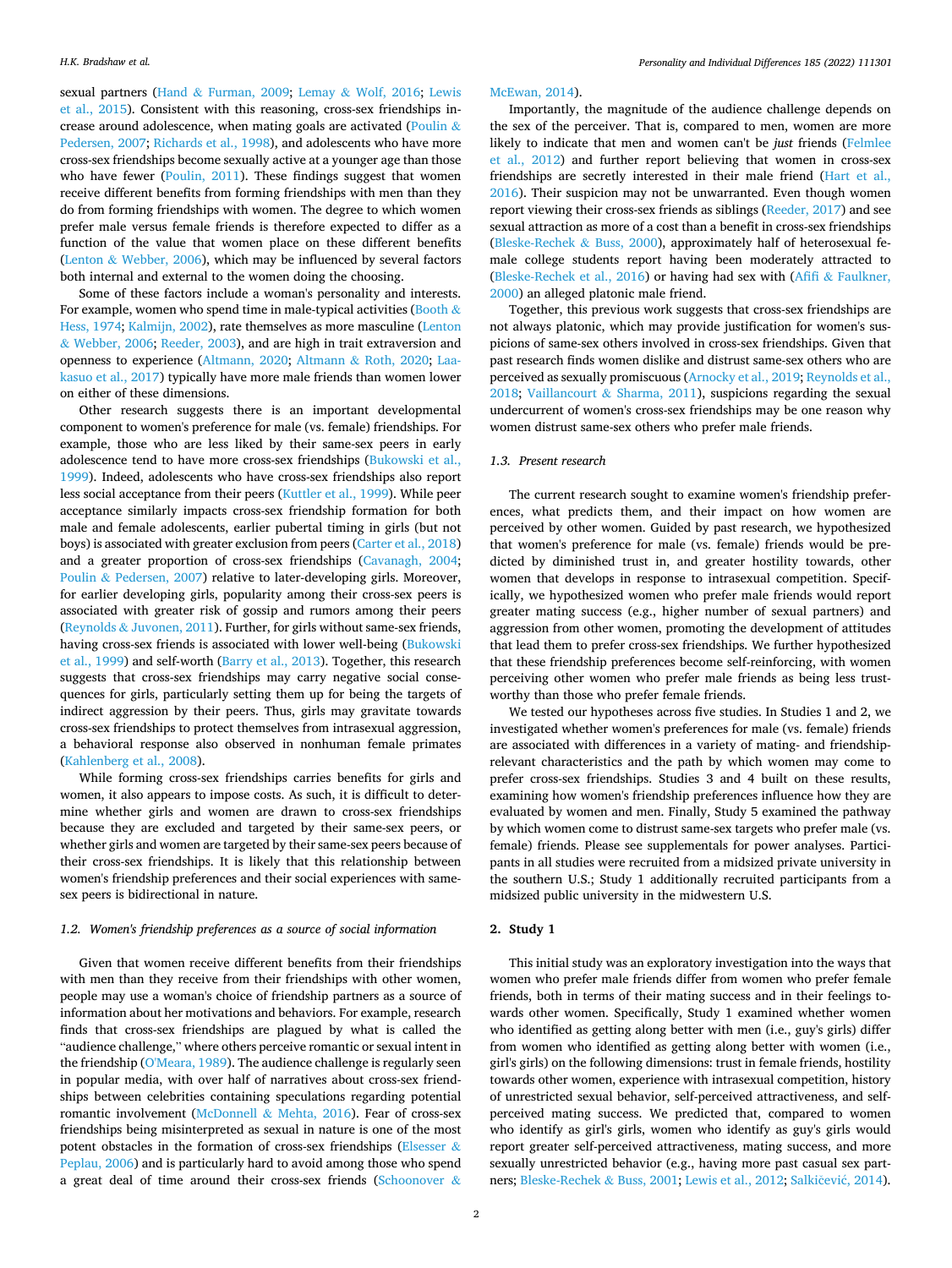sexual partners (Hand & [Furman, 2009](#page-9-0); Lemay & [Wolf, 2016](#page-9-0); [Lewis](#page-9-0)  [et al., 2015\)](#page-9-0). Consistent with this reasoning, cross-sex friendships in-crease around adolescence, when mating goals are activated [\(Poulin](#page-9-0)  $\&$ [Pedersen, 2007; Richards et al., 1998\)](#page-9-0), and adolescents who have more cross-sex friendships become sexually active at a younger age than those who have fewer ([Poulin, 2011](#page-9-0)). These findings suggest that women receive different benefits from forming friendships with men than they do from forming friendships with women. The degree to which women prefer male versus female friends is therefore expected to differ as a function of the value that women place on these different benefits (Lenton & [Webber, 2006](#page-9-0)), which may be influenced by several factors both internal and external to the women doing the choosing.

Some of these factors include a woman's personality and interests. For example, women who spend time in male-typical activities ([Booth](#page-8-0)  $\&$ [Hess, 1974](#page-8-0); [Kalmijn, 2002](#page-9-0)), rate themselves as more masculine [\(Lenton](#page-9-0)  & [Webber, 2006](#page-9-0); [Reeder, 2003\)](#page-9-0), and are high in trait extraversion and openness to experience ([Altmann, 2020](#page-8-0); Altmann & [Roth, 2020](#page-8-0); [Laa](#page-9-0)[kasuo et al., 2017\)](#page-9-0) typically have more male friends than women lower on either of these dimensions.

Other research suggests there is an important developmental component to women's preference for male (vs. female) friendships. For example, those who are less liked by their same-sex peers in early adolescence tend to have more cross-sex friendships [\(Bukowski et al.,](#page-9-0)  [1999\)](#page-9-0). Indeed, adolescents who have cross-sex friendships also report less social acceptance from their peers ([Kuttler et al., 1999](#page-9-0)). While peer acceptance similarly impacts cross-sex friendship formation for both male and female adolescents, earlier pubertal timing in girls (but not boys) is associated with greater exclusion from peers ([Carter et al., 2018\)](#page-9-0) and a greater proportion of cross-sex friendships [\(Cavanagh, 2004](#page-9-0); Poulin & [Pedersen, 2007\)](#page-9-0) relative to later-developing girls. Moreover, for earlier developing girls, popularity among their cross-sex peers is associated with greater risk of gossip and rumors among their peers (Reynolds & [Juvonen, 2011](#page-9-0)). Further, for girls without same-sex friends, having cross-sex friends is associated with lower well-being ([Bukowski](#page-9-0)  [et al., 1999\)](#page-9-0) and self-worth ([Barry et al., 2013\)](#page-8-0). Together, this research suggests that cross-sex friendships may carry negative social consequences for girls, particularly setting them up for being the targets of indirect aggression by their peers. Thus, girls may gravitate towards cross-sex friendships to protect themselves from intrasexual aggression, a behavioral response also observed in nonhuman female primates ([Kahlenberg et al., 2008](#page-9-0)).

While forming cross-sex friendships carries benefits for girls and women, it also appears to impose costs. As such, it is difficult to determine whether girls and women are drawn to cross-sex friendships because they are excluded and targeted by their same-sex peers, or whether girls and women are targeted by their same-sex peers because of their cross-sex friendships. It is likely that this relationship between women's friendship preferences and their social experiences with samesex peers is bidirectional in nature.

# *1.2. Women's friendship preferences as a source of social information*

Given that women receive different benefits from their friendships with men than they receive from their friendships with other women, people may use a woman's choice of friendship partners as a source of information about her motivations and behaviors. For example, research finds that cross-sex friendships are plagued by what is called the "audience challenge," where others perceive romantic or sexual intent in the friendship ([O'Meara, 1989\)](#page-9-0). The audience challenge is regularly seen in popular media, with over half of narratives about cross-sex friendships between celebrities containing speculations regarding potential romantic involvement (McDonnell & [Mehta, 2016\)](#page-9-0). Fear of cross-sex friendships being misinterpreted as sexual in nature is one of the most potent obstacles in the formation of cross-sex friendships ([Elsesser](#page-9-0)  $\&$ [Peplau, 2006\)](#page-9-0) and is particularly hard to avoid among those who spend a great deal of time around their cross-sex friends ([Schoonover](#page-9-0) &

## [McEwan, 2014](#page-9-0)).

Importantly, the magnitude of the audience challenge depends on the sex of the perceiver. That is, compared to men, women are more likely to indicate that men and women can't be *just* friends [\(Felmlee](#page-9-0)  [et al., 2012\)](#page-9-0) and further report believing that women in cross-sex friendships are secretly interested in their male friend [\(Hart et al.,](#page-9-0)  [2016\)](#page-9-0). Their suspicion may not be unwarranted. Even though women report viewing their cross-sex friends as siblings ([Reeder, 2017](#page-9-0)) and see sexual attraction as more of a cost than a benefit in cross-sex friendships ([Bleske-Rechek](#page-8-0) & Buss, 2000), approximately half of heterosexual female college students report having been moderately attracted to ([Bleske-Rechek et al., 2016\)](#page-8-0) or having had sex with (Afifi & [Faulkner,](#page-8-0)  [2000\)](#page-8-0) an alleged platonic male friend.

Together, this previous work suggests that cross-sex friendships are not always platonic, which may provide justification for women's suspicions of same-sex others involved in cross-sex friendships. Given that past research finds women dislike and distrust same-sex others who are perceived as sexually promiscuous ([Arnocky et al., 2019;](#page-8-0) [Reynolds et al.,](#page-9-0)  [2018;](#page-9-0) Vaillancourt & [Sharma, 2011](#page-9-0)), suspicions regarding the sexual undercurrent of women's cross-sex friendships may be one reason why women distrust same-sex others who prefer male friends.

# *1.3. Present research*

The current research sought to examine women's friendship preferences, what predicts them, and their impact on how women are perceived by other women. Guided by past research, we hypothesized that women's preference for male (vs. female) friends would be predicted by diminished trust in, and greater hostility towards, other women that develops in response to intrasexual competition. Specifically, we hypothesized women who prefer male friends would report greater mating success (e.g., higher number of sexual partners) and aggression from other women, promoting the development of attitudes that lead them to prefer cross-sex friendships. We further hypothesized that these friendship preferences become self-reinforcing, with women perceiving other women who prefer male friends as being less trustworthy than those who prefer female friends.

We tested our hypotheses across five studies. In Studies 1 and 2, we investigated whether women's preferences for male (vs. female) friends are associated with differences in a variety of mating- and friendshiprelevant characteristics and the path by which women may come to prefer cross-sex friendships. Studies 3 and 4 built on these results, examining how women's friendship preferences influence how they are evaluated by women and men. Finally, Study 5 examined the pathway by which women come to distrust same-sex targets who prefer male (vs. female) friends. Please see supplementals for power analyses. Participants in all studies were recruited from a midsized private university in the southern U.S.; Study 1 additionally recruited participants from a midsized public university in the midwestern U.S.

# **2. Study 1**

This initial study was an exploratory investigation into the ways that women who prefer male friends differ from women who prefer female friends, both in terms of their mating success and in their feelings towards other women. Specifically, Study 1 examined whether women who identified as getting along better with men (i.e., guy's girls) differ from women who identified as getting along better with women (i.e., girl's girls) on the following dimensions: trust in female friends, hostility towards other women, experience with intrasexual competition, history of unrestricted sexual behavior, self-perceived attractiveness, and selfperceived mating success. We predicted that, compared to women who identify as girl's girls, women who identify as guy's girls would report greater self-perceived attractiveness, mating success, and more sexually unrestricted behavior (e.g., having more past casual sex part-ners; [Bleske-Rechek](#page-8-0) & Buss, 2001; [Lewis et al., 2012;](#page-9-0) Salkičević, 2014).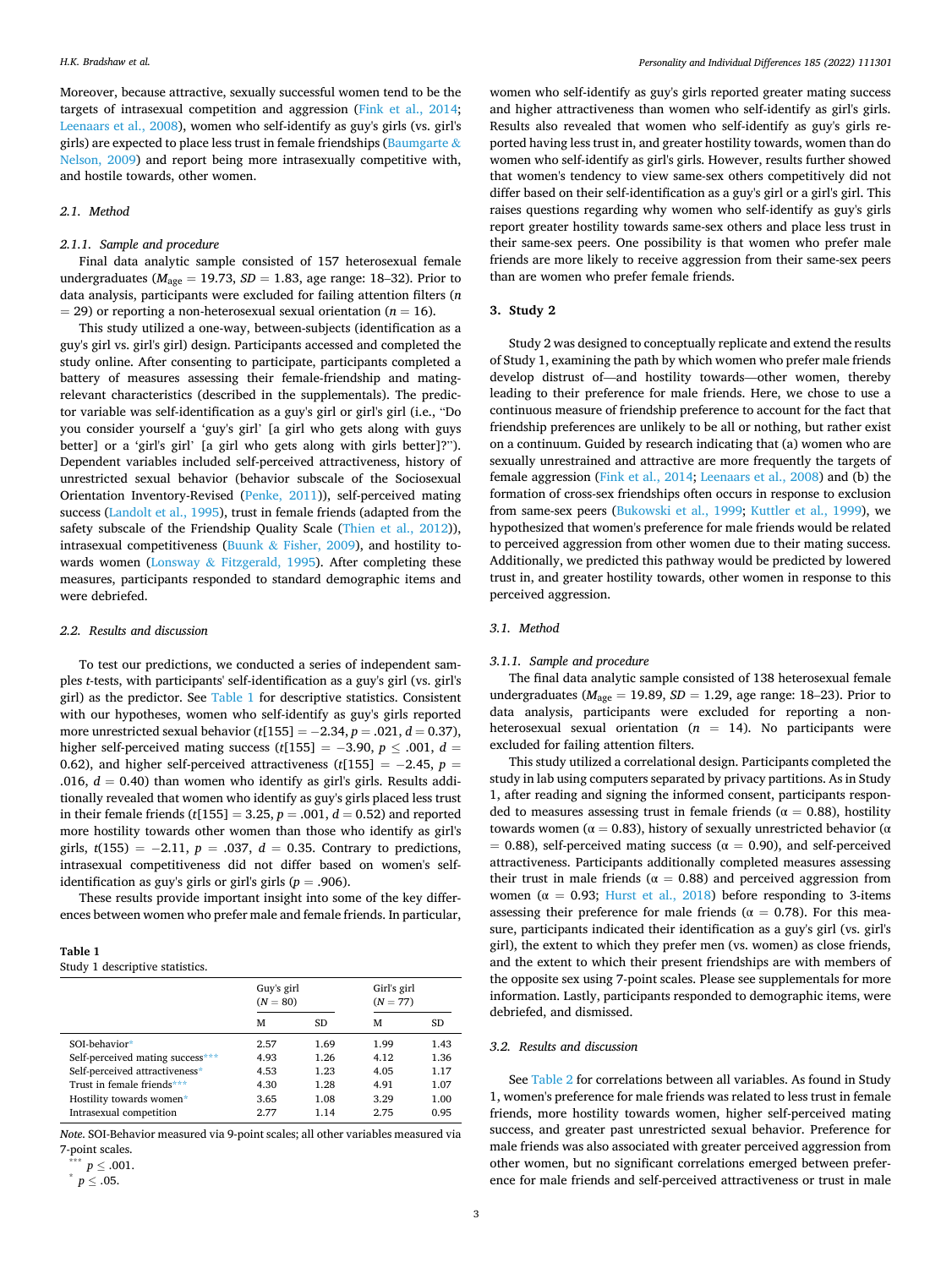Moreover, because attractive, sexually successful women tend to be the targets of intrasexual competition and aggression ([Fink et al., 2014](#page-9-0); [Leenaars et al., 2008\)](#page-9-0), women who self-identify as guy's girls (vs. girl's girls) are expected to place less trust in female friendships ([Baumgarte](#page-8-0)  $\&$ [Nelson, 2009](#page-8-0)) and report being more intrasexually competitive with, and hostile towards, other women.

# *2.1. Method*

# *2.1.1. Sample and procedure*

Final data analytic sample consisted of 157 heterosexual female undergraduates (*M*age = 19.73, *SD* = 1.83, age range: 18–32). Prior to data analysis, participants were excluded for failing attention filters (*n*   $=$  29) or reporting a non-heterosexual sexual orientation ( $n = 16$ ).

This study utilized a one-way, between-subjects (identification as a guy's girl vs. girl's girl) design. Participants accessed and completed the study online. After consenting to participate, participants completed a battery of measures assessing their female-friendship and matingrelevant characteristics (described in the supplementals). The predictor variable was self-identification as a guy's girl or girl's girl (i.e., "Do you consider yourself a 'guy's girl' [a girl who gets along with guys better] or a 'girl's girl' [a girl who gets along with girls better]?"). Dependent variables included self-perceived attractiveness, history of unrestricted sexual behavior (behavior subscale of the Sociosexual Orientation Inventory-Revised [\(Penke, 2011\)](#page-9-0)), self-perceived mating success [\(Landolt et al., 1995](#page-9-0)), trust in female friends (adapted from the safety subscale of the Friendship Quality Scale ([Thien et al., 2012](#page-9-0))), intrasexual competitiveness (Buunk  $\&$  [Fisher, 2009](#page-9-0)), and hostility towards women (Lonsway & [Fitzgerald, 1995\)](#page-9-0). After completing these measures, participants responded to standard demographic items and were debriefed.

### *2.2. Results and discussion*

To test our predictions, we conducted a series of independent samples *t*-tests, with participants' self-identification as a guy's girl (vs. girl's girl) as the predictor. See Table 1 for descriptive statistics. Consistent with our hypotheses, women who self-identify as guy's girls reported more unrestricted sexual behavior  $(t[155] = -2.34, p = .021, d = 0.37)$ , higher self-perceived mating success ( $t$ [155] = -3.90,  $p \leq .001$ ,  $d =$ 0.62), and higher self-perceived attractiveness ( $t$ [155] = -2.45,  $p =$ .016,  $d = 0.40$ ) than women who identify as girl's girls. Results additionally revealed that women who identify as guy's girls placed less trust in their female friends (*t*[155] = 3.25, *p* = .001, *d* = 0.52) and reported more hostility towards other women than those who identify as girl's girls,  $t(155) = -2.11$ ,  $p = .037$ ,  $d = 0.35$ . Contrary to predictions, intrasexual competitiveness did not differ based on women's selfidentification as guy's girls or girl's girls ( $p = .906$ ).

These results provide important insight into some of the key differences between women who prefer male and female friends. In particular,

#### **Table 1**

Study 1 descriptive statistics.

|                                  | Guy's girl<br>$(N = 80)$ |      | Girl's girl<br>$(N = 77)$ |      |
|----------------------------------|--------------------------|------|---------------------------|------|
|                                  | м                        | SD.  | м                         | SD.  |
| SOI-behavior*                    | 2.57                     | 1.69 | 1.99                      | 1.43 |
| Self-perceived mating success*** | 4.93                     | 1.26 | 4.12                      | 1.36 |
| Self-perceived attractiveness*   | 4.53                     | 1.23 | 4.05                      | 1.17 |
| Trust in female friends***       | 4.30                     | 1.28 | 4.91                      | 1.07 |
| Hostility towards women*         | 3.65                     | 1.08 | 3.29                      | 1.00 |
| Intrasexual competition          | 2.77                     | 1.14 | 2.75                      | 0.95 |
|                                  |                          |      |                           |      |

*Note*. SOI-Behavior measured via 9-point scales; all other variables measured via 7-point scales.

women who self-identify as guy's girls reported greater mating success and higher attractiveness than women who self-identify as girl's girls. Results also revealed that women who self-identify as guy's girls reported having less trust in, and greater hostility towards, women than do women who self-identify as girl's girls. However, results further showed that women's tendency to view same-sex others competitively did not differ based on their self-identification as a guy's girl or a girl's girl. This raises questions regarding why women who self-identify as guy's girls report greater hostility towards same-sex others and place less trust in their same-sex peers. One possibility is that women who prefer male friends are more likely to receive aggression from their same-sex peers than are women who prefer female friends.

#### **3. Study 2**

Study 2 was designed to conceptually replicate and extend the results of Study 1, examining the path by which women who prefer male friends develop distrust of—and hostility towards—other women, thereby leading to their preference for male friends. Here, we chose to use a continuous measure of friendship preference to account for the fact that friendship preferences are unlikely to be all or nothing, but rather exist on a continuum. Guided by research indicating that (a) women who are sexually unrestrained and attractive are more frequently the targets of female aggression [\(Fink et al., 2014;](#page-9-0) [Leenaars et al., 2008](#page-9-0)) and (b) the formation of cross-sex friendships often occurs in response to exclusion from same-sex peers ([Bukowski et al., 1999;](#page-9-0) [Kuttler et al., 1999](#page-9-0)), we hypothesized that women's preference for male friends would be related to perceived aggression from other women due to their mating success. Additionally, we predicted this pathway would be predicted by lowered trust in, and greater hostility towards, other women in response to this perceived aggression.

# *3.1. Method*

#### *3.1.1. Sample and procedure*

The final data analytic sample consisted of 138 heterosexual female undergraduates ( $M_{\text{age}} = 19.89$ ,  $SD = 1.29$ , age range: 18–23). Prior to data analysis, participants were excluded for reporting a nonheterosexual sexual orientation (*n* = 14). No participants were excluded for failing attention filters.

This study utilized a correlational design. Participants completed the study in lab using computers separated by privacy partitions. As in Study 1, after reading and signing the informed consent, participants responded to measures assessing trust in female friends ( $\alpha = 0.88$ ), hostility towards women ( $α = 0.83$ ), history of sexually unrestricted behavior ( $α$  $= 0.88$ ), self-perceived mating success ( $\alpha = 0.90$ ), and self-perceived attractiveness. Participants additionally completed measures assessing their trust in male friends ( $\alpha = 0.88$ ) and perceived aggression from women ( $\alpha = 0.93$ ; [Hurst et al., 2018](#page-9-0)) before responding to 3-items assessing their preference for male friends ( $\alpha = 0.78$ ). For this measure, participants indicated their identification as a guy's girl (vs. girl's girl), the extent to which they prefer men (vs. women) as close friends, and the extent to which their present friendships are with members of the opposite sex using 7-point scales. Please see supplementals for more information. Lastly, participants responded to demographic items, were debriefed, and dismissed.

#### *3.2. Results and discussion*

See [Table 2](#page-3-0) for correlations between all variables. As found in Study 1, women's preference for male friends was related to less trust in female friends, more hostility towards women, higher self-perceived mating success, and greater past unrestricted sexual behavior. Preference for male friends was also associated with greater perceived aggression from other women, but no significant correlations emerged between preference for male friends and self-perceived attractiveness or trust in male

 $^*$   $p \leq .001.$ 

 $p \leq .05$ .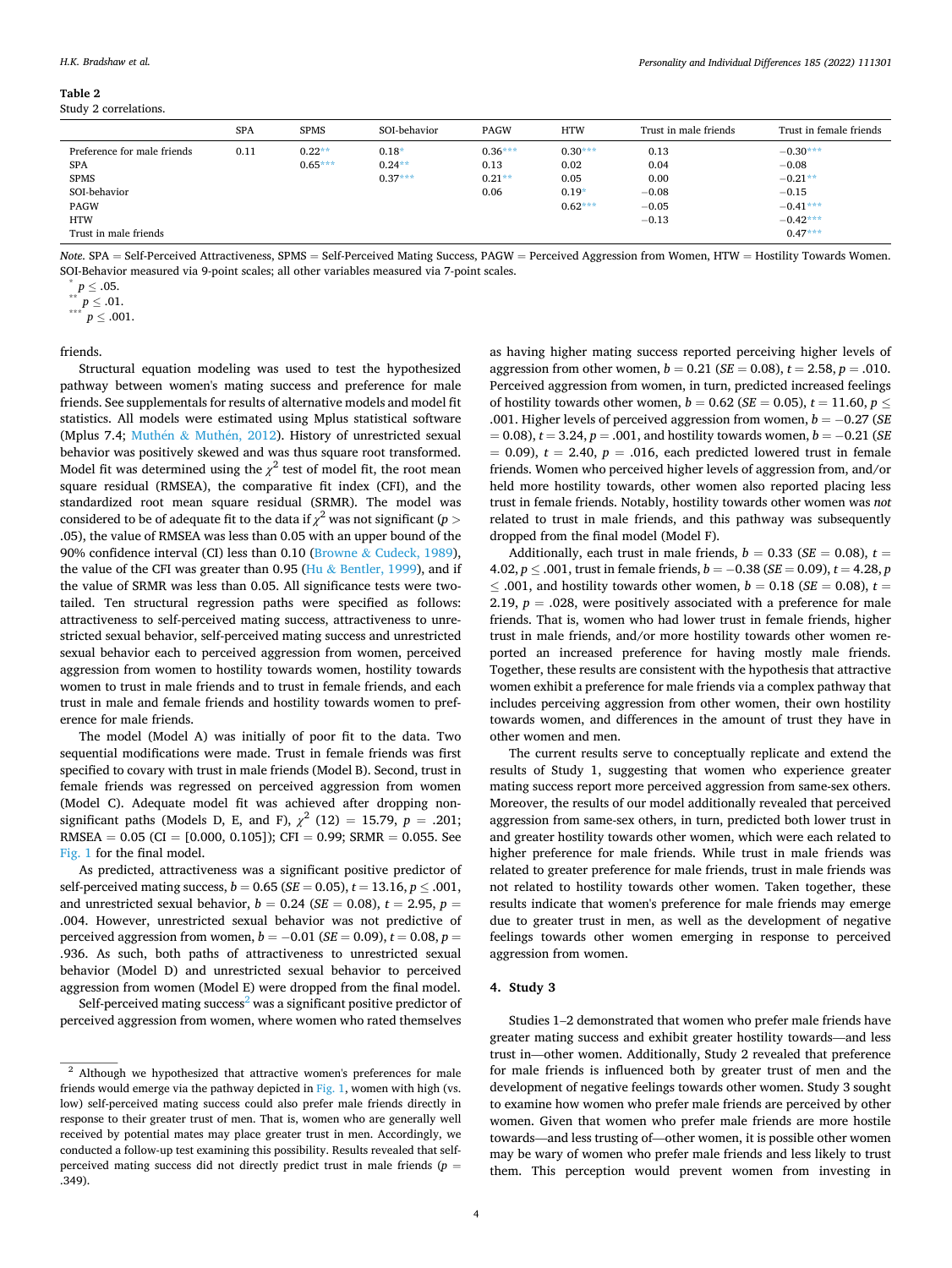<span id="page-3-0"></span>

| Table 2 |                      |
|---------|----------------------|
|         | Study 2 correlations |

|                             | <b>SPA</b> | <b>SPMS</b> | SOI-behavior | <b>PAGW</b> | <b>HTW</b> | Trust in male friends | Trust in female friends |
|-----------------------------|------------|-------------|--------------|-------------|------------|-----------------------|-------------------------|
| Preference for male friends | 0.11       | $0.22**$    | $0.18*$      | $0.36***$   | $0.30***$  | 0.13                  | $-0.30***$              |
| <b>SPA</b>                  |            | $0.65***$   | $0.24**$     | 0.13        | 0.02       | 0.04                  | $-0.08$                 |
| <b>SPMS</b>                 |            |             | $0.37***$    | $0.21**$    | 0.05       | 0.00                  | $-0.21**$               |
| SOI-behavior                |            |             |              | 0.06        | $0.19*$    | $-0.08$               | $-0.15$                 |
| <b>PAGW</b>                 |            |             |              |             | $0.62***$  | $-0.05$               | $-0.41***$              |
| <b>HTW</b>                  |            |             |              |             |            | $-0.13$               | $-0.42***$              |
| Trust in male friends       |            |             |              |             |            |                       | $0.47***$               |

*Note*. SPA = Self-Perceived Attractiveness, SPMS = Self-Perceived Mating Success, PAGW = Perceived Aggression from Women, HTW = Hostility Towards Women. SOI-Behavior measured via 9-point scales; all other variables measured via 7-point scales.

 $p^2$  ∴00.<br>\*\* *p* ≤ .01.  $p \leq .001$ .

friends.

Structural equation modeling was used to test the hypothesized pathway between women's mating success and preference for male friends. See supplementals for results of alternative models and model fit statistics. All models were estimated using Mplus statistical software (Mplus 7.4; Muthén & Muthén, 2012). History of unrestricted sexual behavior was positively skewed and was thus square root transformed. Model fit was determined using the  $\chi^2$  test of model fit, the root mean square residual (RMSEA), the comparative fit index (CFI), and the standardized root mean square residual (SRMR). The model was considered to be of adequate fit to the data if  $\chi^2$  was not significant ( $p>$ .05), the value of RMSEA was less than 0.05 with an upper bound of the 90% confidence interval (CI) less than 0.10 (Browne & [Cudeck, 1989](#page-8-0)), the value of the CFI was greater than 0.95 (Hu  $&$  [Bentler, 1999\)](#page-9-0), and if the value of SRMR was less than 0.05. All significance tests were twotailed. Ten structural regression paths were specified as follows: attractiveness to self-perceived mating success, attractiveness to unrestricted sexual behavior, self-perceived mating success and unrestricted sexual behavior each to perceived aggression from women, perceived aggression from women to hostility towards women, hostility towards women to trust in male friends and to trust in female friends, and each trust in male and female friends and hostility towards women to preference for male friends.

The model (Model A) was initially of poor fit to the data. Two sequential modifications were made. Trust in female friends was first specified to covary with trust in male friends (Model B). Second, trust in female friends was regressed on perceived aggression from women (Model C). Adequate model fit was achieved after dropping nonsignificant paths (Models D, E, and F),  $\chi^2$  (12) = 15.79, *p* = .201; RMSEA =  $0.05$  (CI = [0.000, 0.105]); CFI = 0.99; SRMR = 0.055. See [Fig. 1](#page-4-0) for the final model.

As predicted, attractiveness was a significant positive predictor of self-perceived mating success,  $b = 0.65$  (*SE* = 0.05),  $t = 13.16$ ,  $p \le 0.001$ , and unrestricted sexual behavior,  $b = 0.24$  (*SE* = 0.08),  $t = 2.95$ ,  $p =$ .004. However, unrestricted sexual behavior was not predictive of perceived aggression from women,  $b = -0.01$  (*SE* = 0.09),  $t = 0.08$ ,  $p =$ .936. As such, both paths of attractiveness to unrestricted sexual behavior (Model D) and unrestricted sexual behavior to perceived aggression from women (Model E) were dropped from the final model.

Self-perceived mating success<sup>2</sup> was a significant positive predictor of perceived aggression from women, where women who rated themselves

as having higher mating success reported perceiving higher levels of aggression from other women, *b* = 0.21 (*SE* = 0.08), *t* = 2.58, *p* = .010. Perceived aggression from women, in turn, predicted increased feelings of hostility towards other women,  $b = 0.62$  (*SE* = 0.05),  $t = 11.60, p \le$ .001. Higher levels of perceived aggression from women, *b* = −0.27 (*SE*  = 0.08), *t* = 3.24, *p* = .001, and hostility towards women, *b* = −0.21 (*SE*   $= 0.09$ ,  $t = 2.40$ ,  $p = .016$ , each predicted lowered trust in female friends. Women who perceived higher levels of aggression from, and/or held more hostility towards, other women also reported placing less trust in female friends. Notably, hostility towards other women was *not*  related to trust in male friends, and this pathway was subsequently dropped from the final model (Model F).

Additionally, each trust in male friends,  $b = 0.33$  (*SE* = 0.08),  $t =$ 4.02, *p* ≤ .001, trust in female friends, *b* = −0.38 (*SE* = 0.09), *t* = 4.28, *p*  ≤ .001, and hostility towards other women,  $b = 0.18$  (*SE* = 0.08),  $t =$ 2.19,  $p = 0.028$ , were positively associated with a preference for male friends. That is, women who had lower trust in female friends, higher trust in male friends, and/or more hostility towards other women reported an increased preference for having mostly male friends. Together, these results are consistent with the hypothesis that attractive women exhibit a preference for male friends via a complex pathway that includes perceiving aggression from other women, their own hostility towards women, and differences in the amount of trust they have in other women and men.

The current results serve to conceptually replicate and extend the results of Study 1, suggesting that women who experience greater mating success report more perceived aggression from same-sex others. Moreover, the results of our model additionally revealed that perceived aggression from same-sex others, in turn, predicted both lower trust in and greater hostility towards other women, which were each related to higher preference for male friends. While trust in male friends was related to greater preference for male friends, trust in male friends was not related to hostility towards other women. Taken together, these results indicate that women's preference for male friends may emerge due to greater trust in men, as well as the development of negative feelings towards other women emerging in response to perceived aggression from women.

# **4. Study 3**

Studies 1–2 demonstrated that women who prefer male friends have greater mating success and exhibit greater hostility towards—and less trust in—other women. Additionally, Study 2 revealed that preference for male friends is influenced both by greater trust of men and the development of negative feelings towards other women. Study 3 sought to examine how women who prefer male friends are perceived by other women. Given that women who prefer male friends are more hostile towards—and less trusting of—other women, it is possible other women may be wary of women who prefer male friends and less likely to trust them. This perception would prevent women from investing in

 $p \leq .05$ .

 $2$  Although we hypothesized that attractive women's preferences for male friends would emerge via the pathway depicted in [Fig. 1,](#page-4-0) women with high (vs. low) self-perceived mating success could also prefer male friends directly in response to their greater trust of men. That is, women who are generally well received by potential mates may place greater trust in men. Accordingly, we conducted a follow-up test examining this possibility. Results revealed that selfperceived mating success did not directly predict trust in male friends  $(p =$ .349).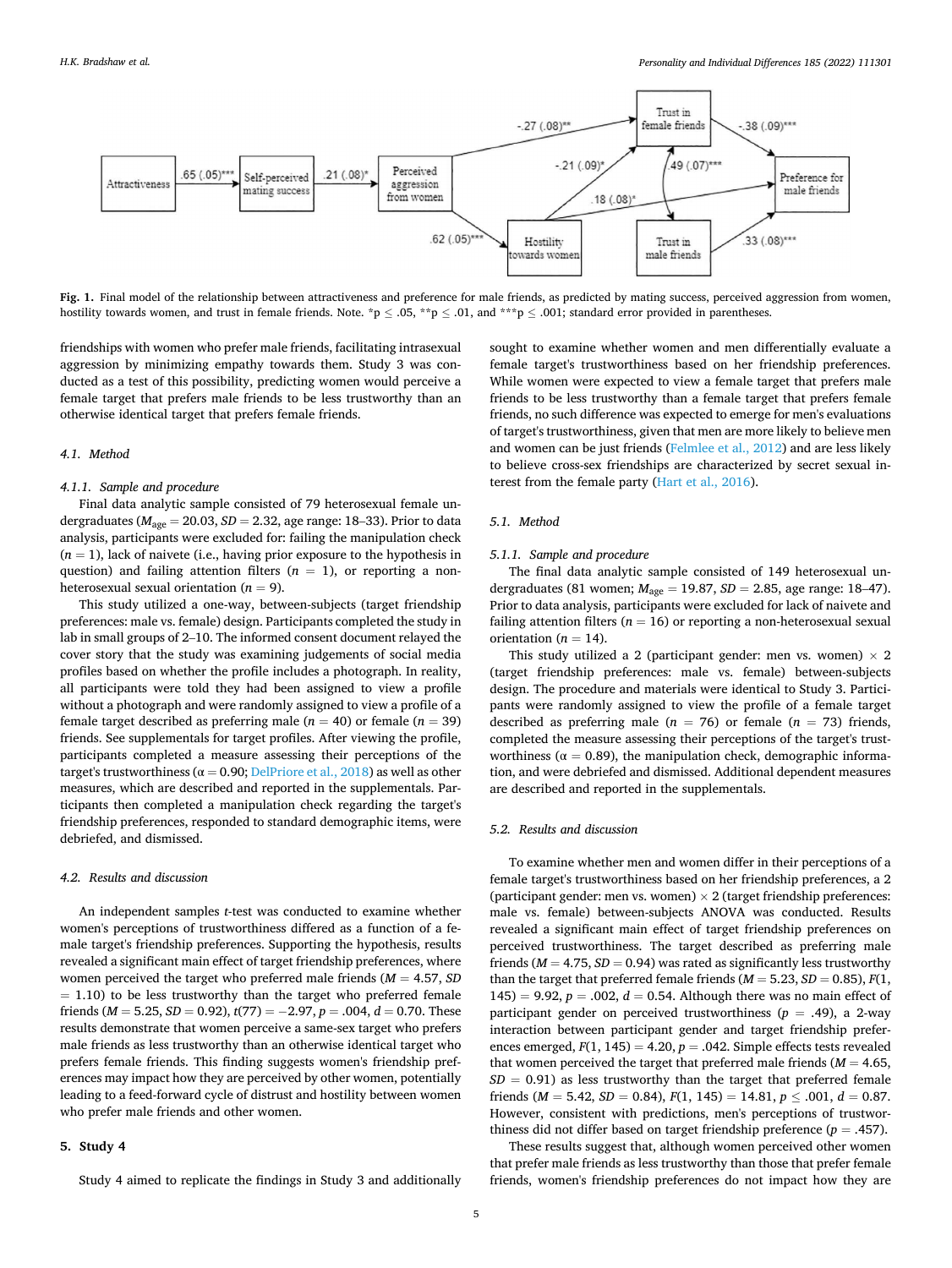<span id="page-4-0"></span>

Fig. 1. Final model of the relationship between attractiveness and preference for male friends, as predicted by mating success, perceived aggression from women, hostility towards women, and trust in female friends. Note. \*p  $\leq .05$ , \*\*p  $\leq .01$ , and \*\*\*p  $\leq .001$ ; standard error provided in parentheses.

friendships with women who prefer male friends, facilitating intrasexual aggression by minimizing empathy towards them. Study 3 was conducted as a test of this possibility, predicting women would perceive a female target that prefers male friends to be less trustworthy than an otherwise identical target that prefers female friends.

# *4.1. Method*

#### *4.1.1. Sample and procedure*

Final data analytic sample consisted of 79 heterosexual female undergraduates (*M*age = 20.03, *SD* = 2.32, age range: 18–33). Prior to data analysis, participants were excluded for: failing the manipulation check  $(n = 1)$ , lack of naivete (i.e., having prior exposure to the hypothesis in question) and failing attention filters  $(n = 1)$ , or reporting a nonheterosexual sexual orientation  $(n = 9)$ .

This study utilized a one-way, between-subjects (target friendship preferences: male vs. female) design. Participants completed the study in lab in small groups of 2–10. The informed consent document relayed the cover story that the study was examining judgements of social media profiles based on whether the profile includes a photograph. In reality, all participants were told they had been assigned to view a profile without a photograph and were randomly assigned to view a profile of a female target described as preferring male  $(n = 40)$  or female  $(n = 39)$ friends. See supplementals for target profiles. After viewing the profile, participants completed a measure assessing their perceptions of the target's trustworthiness ( $\alpha$  = 0.90; [DelPriore et al., 2018\)](#page-9-0) as well as other measures, which are described and reported in the supplementals. Participants then completed a manipulation check regarding the target's friendship preferences, responded to standard demographic items, were debriefed, and dismissed.

## *4.2. Results and discussion*

An independent samples *t*-test was conducted to examine whether women's perceptions of trustworthiness differed as a function of a female target's friendship preferences. Supporting the hypothesis, results revealed a significant main effect of target friendship preferences, where women perceived the target who preferred male friends (*M* = 4.57, *SD*   $= 1.10$ ) to be less trustworthy than the target who preferred female friends ( $M = 5.25$ ,  $SD = 0.92$ ),  $t(77) = -2.97$ ,  $p = .004$ ,  $d = 0.70$ . These results demonstrate that women perceive a same-sex target who prefers male friends as less trustworthy than an otherwise identical target who prefers female friends. This finding suggests women's friendship preferences may impact how they are perceived by other women, potentially leading to a feed-forward cycle of distrust and hostility between women who prefer male friends and other women.

#### **5. Study 4**

Study 4 aimed to replicate the findings in Study 3 and additionally

sought to examine whether women and men differentially evaluate a female target's trustworthiness based on her friendship preferences. While women were expected to view a female target that prefers male friends to be less trustworthy than a female target that prefers female friends, no such difference was expected to emerge for men's evaluations of target's trustworthiness, given that men are more likely to believe men and women can be just friends ([Felmlee et al., 2012](#page-9-0)) and are less likely to believe cross-sex friendships are characterized by secret sexual interest from the female party [\(Hart et al., 2016\)](#page-9-0).

## *5.1. Method*

# *5.1.1. Sample and procedure*

The final data analytic sample consisted of 149 heterosexual undergraduates (81 women; *M*age = 19.87, *SD* = 2.85, age range: 18–47). Prior to data analysis, participants were excluded for lack of naivete and failing attention filters ( $n = 16$ ) or reporting a non-heterosexual sexual orientation ( $n = 14$ ).

This study utilized a 2 (participant gender: men vs. women)  $\times$  2 (target friendship preferences: male vs. female) between-subjects design. The procedure and materials were identical to Study 3. Participants were randomly assigned to view the profile of a female target described as preferring male ( $n = 76$ ) or female ( $n = 73$ ) friends, completed the measure assessing their perceptions of the target's trustworthiness ( $\alpha = 0.89$ ), the manipulation check, demographic information, and were debriefed and dismissed. Additional dependent measures are described and reported in the supplementals.

# *5.2. Results and discussion*

To examine whether men and women differ in their perceptions of a female target's trustworthiness based on her friendship preferences, a 2 (participant gender: men vs. women)  $\times$  2 (target friendship preferences: male vs. female) between-subjects ANOVA was conducted. Results revealed a significant main effect of target friendship preferences on perceived trustworthiness. The target described as preferring male friends ( $M = 4.75$ ,  $SD = 0.94$ ) was rated as significantly less trustworthy than the target that preferred female friends ( $M = 5.23$ ,  $SD = 0.85$ ),  $F(1)$ , 145) = 9.92,  $p = .002$ ,  $d = 0.54$ . Although there was no main effect of participant gender on perceived trustworthiness  $(p = .49)$ , a 2-way interaction between participant gender and target friendship preferences emerged,  $F(1, 145) = 4.20$ ,  $p = .042$ . Simple effects tests revealed that women perceived the target that preferred male friends ( $M = 4.65$ ,  $SD = 0.91$ ) as less trustworthy than the target that preferred female friends ( $M = 5.42$ ,  $SD = 0.84$ ),  $F(1, 145) = 14.81$ ,  $p \le .001$ ,  $d = 0.87$ . However, consistent with predictions, men's perceptions of trustworthiness did not differ based on target friendship preference  $(p = .457)$ .

These results suggest that, although women perceived other women that prefer male friends as less trustworthy than those that prefer female friends, women's friendship preferences do not impact how they are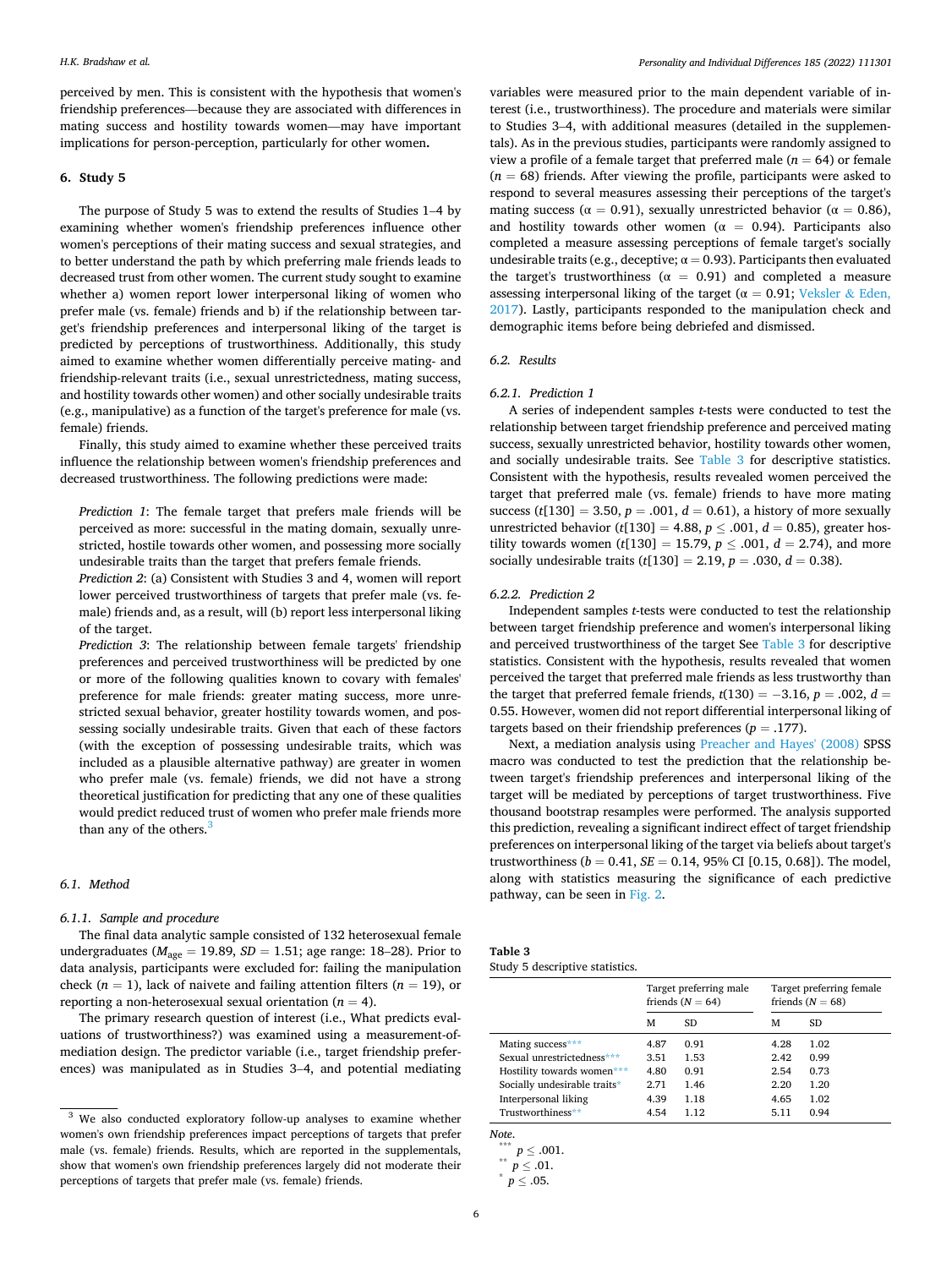perceived by men. This is consistent with the hypothesis that women's friendship preferences—because they are associated with differences in mating success and hostility towards women—may have important implications for person-perception, particularly for other women**.** 

# **6. Study 5**

The purpose of Study 5 was to extend the results of Studies 1–4 by examining whether women's friendship preferences influence other women's perceptions of their mating success and sexual strategies, and to better understand the path by which preferring male friends leads to decreased trust from other women. The current study sought to examine whether a) women report lower interpersonal liking of women who prefer male (vs. female) friends and b) if the relationship between target's friendship preferences and interpersonal liking of the target is predicted by perceptions of trustworthiness. Additionally, this study aimed to examine whether women differentially perceive mating- and friendship-relevant traits (i.e., sexual unrestrictedness, mating success, and hostility towards other women) and other socially undesirable traits (e.g., manipulative) as a function of the target's preference for male (vs. female) friends.

Finally, this study aimed to examine whether these perceived traits influence the relationship between women's friendship preferences and decreased trustworthiness. The following predictions were made:

*Prediction 1*: The female target that prefers male friends will be perceived as more: successful in the mating domain, sexually unrestricted, hostile towards other women, and possessing more socially undesirable traits than the target that prefers female friends.

*Prediction 2*: (a) Consistent with Studies 3 and 4, women will report lower perceived trustworthiness of targets that prefer male (vs. female) friends and, as a result, will (b) report less interpersonal liking of the target.

*Prediction 3*: The relationship between female targets' friendship preferences and perceived trustworthiness will be predicted by one or more of the following qualities known to covary with females' preference for male friends: greater mating success, more unrestricted sexual behavior, greater hostility towards women, and possessing socially undesirable traits. Given that each of these factors (with the exception of possessing undesirable traits, which was included as a plausible alternative pathway) are greater in women who prefer male (vs. female) friends, we did not have a strong theoretical justification for predicting that any one of these qualities would predict reduced trust of women who prefer male friends more than any of the others.<sup>3</sup>

## *6.1. Method*

## *6.1.1. Sample and procedure*

The final data analytic sample consisted of 132 heterosexual female undergraduates ( $M_{\text{age}} = 19.89$ ,  $SD = 1.51$ ; age range: 18–28). Prior to data analysis, participants were excluded for: failing the manipulation check ( $n = 1$ ), lack of naivete and failing attention filters ( $n = 19$ ), or reporting a non-heterosexual sexual orientation  $(n = 4)$ .

The primary research question of interest (i.e., What predicts evaluations of trustworthiness?) was examined using a measurement-ofmediation design. The predictor variable (i.e., target friendship preferences) was manipulated as in Studies 3–4, and potential mediating

variables were measured prior to the main dependent variable of interest (i.e., trustworthiness). The procedure and materials were similar to Studies 3–4, with additional measures (detailed in the supplementals). As in the previous studies, participants were randomly assigned to view a profile of a female target that preferred male ( $n = 64$ ) or female  $(n = 68)$  friends. After viewing the profile, participants were asked to respond to several measures assessing their perceptions of the target's mating success ( $\alpha = 0.91$ ), sexually unrestricted behavior ( $\alpha = 0.86$ ), and hostility towards other women ( $\alpha = 0.94$ ). Participants also completed a measure assessing perceptions of female target's socially undesirable traits (e.g., deceptive;  $\alpha = 0.93$ ). Participants then evaluated the target's trustworthiness ( $\alpha = 0.91$ ) and completed a measure assessing interpersonal liking of the target ( $\alpha = 0.91$ ; [Veksler](#page-9-0) & Eden, [2017\)](#page-9-0). Lastly, participants responded to the manipulation check and demographic items before being debriefed and dismissed.

# *6.2. Results*

## *6.2.1. Prediction 1*

A series of independent samples *t*-tests were conducted to test the relationship between target friendship preference and perceived mating success, sexually unrestricted behavior, hostility towards other women, and socially undesirable traits. See Table 3 for descriptive statistics. Consistent with the hypothesis, results revealed women perceived the target that preferred male (vs. female) friends to have more mating success ( $t[130] = 3.50$ ,  $p = .001$ ,  $d = 0.61$ ), a history of more sexually unrestricted behavior ( $t[130] = 4.88$ ,  $p \le .001$ ,  $d = 0.85$ ), greater hostility towards women ( $t[130] = 15.79, p \le .001, d = 2.74$ ), and more socially undesirable traits  $(t[130] = 2.19, p = .030, d = 0.38)$ .

#### *6.2.2. Prediction 2*

Independent samples *t*-tests were conducted to test the relationship between target friendship preference and women's interpersonal liking and perceived trustworthiness of the target See Table 3 for descriptive statistics. Consistent with the hypothesis, results revealed that women perceived the target that preferred male friends as less trustworthy than the target that preferred female friends,  $t(130) = -3.16$ ,  $p = .002$ ,  $d =$ 0.55. However, women did not report differential interpersonal liking of targets based on their friendship preferences ( $p = .177$ ).

Next, a mediation analysis using [Preacher and Hayes' \(2008\)](#page-9-0) SPSS macro was conducted to test the prediction that the relationship between target's friendship preferences and interpersonal liking of the target will be mediated by perceptions of target trustworthiness. Five thousand bootstrap resamples were performed. The analysis supported this prediction, revealing a significant indirect effect of target friendship preferences on interpersonal liking of the target via beliefs about target's trustworthiness ( $b = 0.41$ ,  $SE = 0.14$ , 95% CI [0.15, 0.68]). The model, along with statistics measuring the significance of each predictive pathway, can be seen in [Fig. 2](#page-6-0).

| Table 3                         |
|---------------------------------|
| Study 5 descriptive statistics. |

|                              | Target preferring male<br>friends $(N = 64)$ |      | Target preferring female<br>friends $(N = 68)$ |      |
|------------------------------|----------------------------------------------|------|------------------------------------------------|------|
|                              | м                                            | SD.  | м                                              | SD.  |
| Mating success***            | 4.87                                         | 0.91 | 4.28                                           | 1.02 |
| Sexual unrestrictedness***   | 3.51                                         | 1.53 | 2.42                                           | 0.99 |
| Hostility towards women***   | 4.80                                         | 0.91 | 2.54                                           | 0.73 |
| Socially undesirable traits* | 2.71                                         | 1.46 | 2.20                                           | 1.20 |
| Interpersonal liking         | 4.39                                         | 1.18 | 4.65                                           | 1.02 |
| Trustworthiness**            | 4.54                                         | 1.12 | 5.11                                           | 0.94 |

*Note*.

 $***$  *p*  $\leq$  .001.

<sup>&</sup>lt;sup>3</sup> We also conducted exploratory follow-up analyses to examine whether women's own friendship preferences impact perceptions of targets that prefer male (vs. female) friends. Results, which are reported in the supplementals, show that women's own friendship preferences largely did not moderate their perceptions of targets that prefer male (vs. female) friends.

 $\overset{**}{p} \leq .01.$ 

 $p \leq .05$ .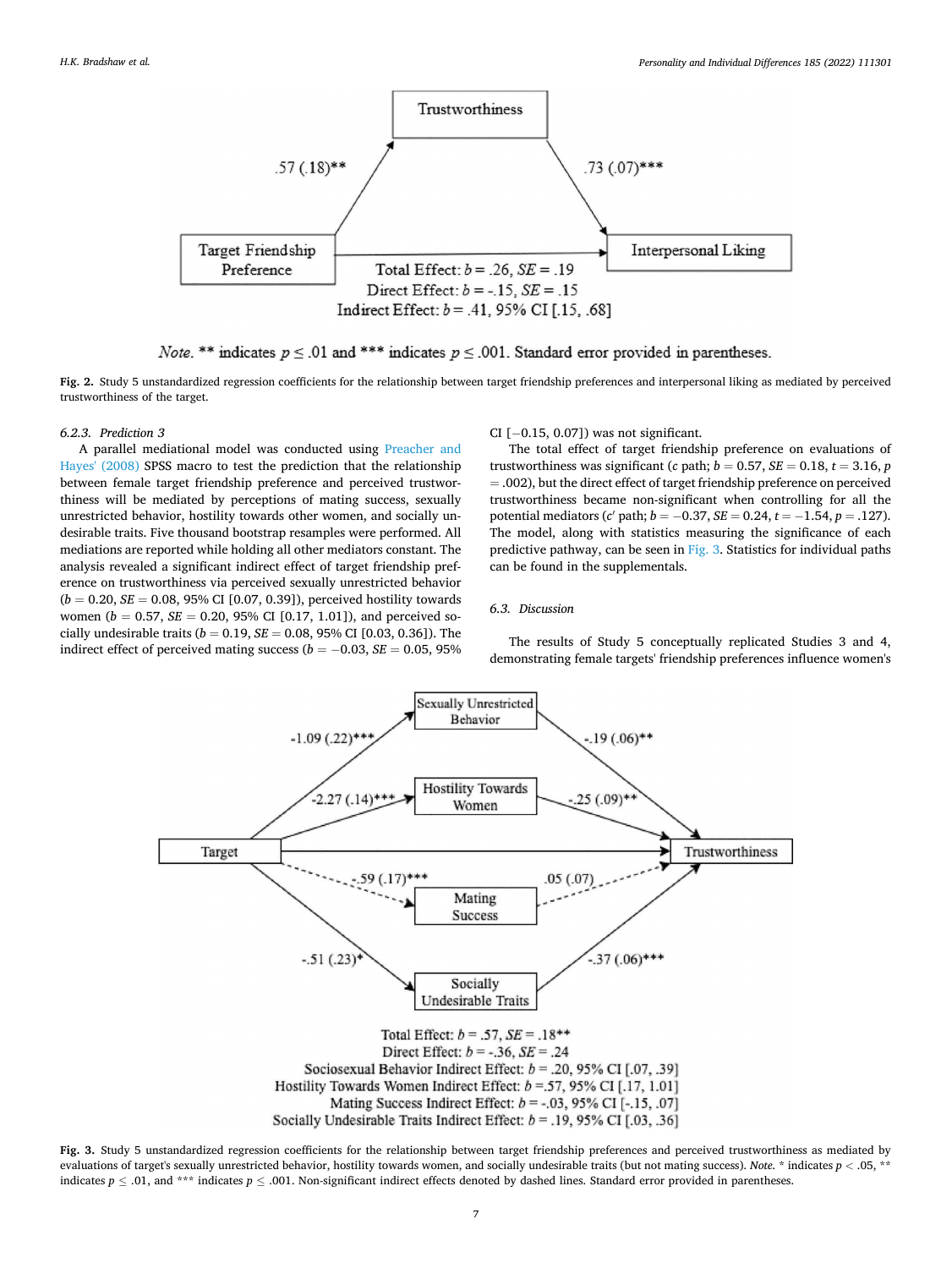<span id="page-6-0"></span>

*Note.* \*\* indicates  $p \le 0.01$  and \*\*\* indicates  $p \le 0.001$ . Standard error provided in parentheses.

**Fig. 2.** Study 5 unstandardized regression coefficients for the relationship between target friendship preferences and interpersonal liking as mediated by perceived trustworthiness of the target.

## *6.2.3. Prediction 3*

A parallel mediational model was conducted using [Preacher and](#page-9-0)  [Hayes' \(2008\)](#page-9-0) SPSS macro to test the prediction that the relationship between female target friendship preference and perceived trustworthiness will be mediated by perceptions of mating success, sexually unrestricted behavior, hostility towards other women, and socially undesirable traits. Five thousand bootstrap resamples were performed. All mediations are reported while holding all other mediators constant. The analysis revealed a significant indirect effect of target friendship preference on trustworthiness via perceived sexually unrestricted behavior  $(b = 0.20, SE = 0.08, 95\% \text{ CI} [0.07, 0.39])$ , perceived hostility towards women ( $b = 0.57$ ,  $SE = 0.20$ , 95% CI [0.17, 1.01]), and perceived socially undesirable traits ( $b = 0.19$ ,  $SE = 0.08$ , 95% CI [0.03, 0.36]). The indirect effect of perceived mating success ( $b = -0.03$ ,  $SE = 0.05$ , 95% CI [−0.15, 0.07]) was not significant.

The total effect of target friendship preference on evaluations of trustworthiness was significant (*c* path;  $b = 0.57$ ,  $SE = 0.18$ ,  $t = 3.16$ ,  $p$ = .002), but the direct effect of target friendship preference on perceived trustworthiness became non-significant when controlling for all the potential mediators (*c* ′ path; *b* = −0.37, *SE* = 0.24, *t* = −1.54, *p* = .127). The model, along with statistics measuring the significance of each predictive pathway, can be seen in Fig. 3. Statistics for individual paths can be found in the supplementals.

## *6.3. Discussion*

The results of Study 5 conceptually replicated Studies 3 and 4, demonstrating female targets' friendship preferences influence women's



**Fig. 3.** Study 5 unstandardized regression coefficients for the relationship between target friendship preferences and perceived trustworthiness as mediated by evaluations of target's sexually unrestricted behavior, hostility towards women, and socially undesirable traits (but not mating success). *Note*. \* indicates *p <* .05, \*\* indicates  $p \le 0.01$ , and \*\*\* indicates  $p \le 0.001$ . Non-significant indirect effects denoted by dashed lines. Standard error provided in parentheses.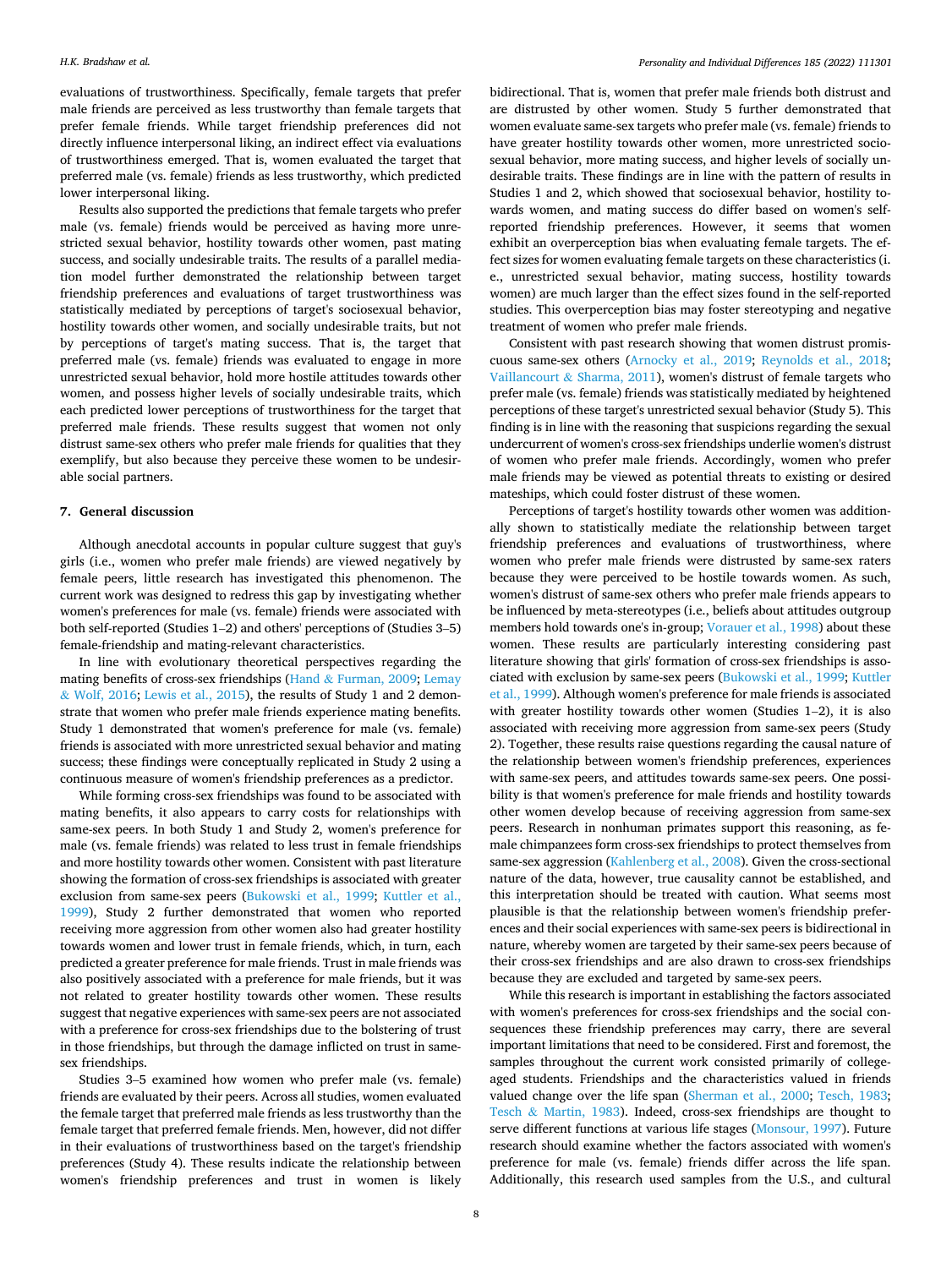#### *H.K. Bradshaw et al.*

evaluations of trustworthiness. Specifically, female targets that prefer male friends are perceived as less trustworthy than female targets that prefer female friends. While target friendship preferences did not directly influence interpersonal liking, an indirect effect via evaluations of trustworthiness emerged. That is, women evaluated the target that preferred male (vs. female) friends as less trustworthy, which predicted lower interpersonal liking.

Results also supported the predictions that female targets who prefer male (vs. female) friends would be perceived as having more unrestricted sexual behavior, hostility towards other women, past mating success, and socially undesirable traits. The results of a parallel mediation model further demonstrated the relationship between target friendship preferences and evaluations of target trustworthiness was statistically mediated by perceptions of target's sociosexual behavior, hostility towards other women, and socially undesirable traits, but not by perceptions of target's mating success. That is, the target that preferred male (vs. female) friends was evaluated to engage in more unrestricted sexual behavior, hold more hostile attitudes towards other women, and possess higher levels of socially undesirable traits, which each predicted lower perceptions of trustworthiness for the target that preferred male friends. These results suggest that women not only distrust same-sex others who prefer male friends for qualities that they exemplify, but also because they perceive these women to be undesirable social partners.

# **7. General discussion**

Although anecdotal accounts in popular culture suggest that guy's girls (i.e., women who prefer male friends) are viewed negatively by female peers, little research has investigated this phenomenon. The current work was designed to redress this gap by investigating whether women's preferences for male (vs. female) friends were associated with both self-reported (Studies 1–2) and others' perceptions of (Studies 3–5) female-friendship and mating-relevant characteristics.

In line with evolutionary theoretical perspectives regarding the mating benefits of cross-sex friendships (Hand & [Furman, 2009; Lemay](#page-9-0)  & [Wolf, 2016; Lewis et al., 2015](#page-9-0)), the results of Study 1 and 2 demonstrate that women who prefer male friends experience mating benefits. Study 1 demonstrated that women's preference for male (vs. female) friends is associated with more unrestricted sexual behavior and mating success; these findings were conceptually replicated in Study 2 using a continuous measure of women's friendship preferences as a predictor.

While forming cross-sex friendships was found to be associated with mating benefits, it also appears to carry costs for relationships with same-sex peers. In both Study 1 and Study 2, women's preference for male (vs. female friends) was related to less trust in female friendships and more hostility towards other women. Consistent with past literature showing the formation of cross-sex friendships is associated with greater exclusion from same-sex peers [\(Bukowski et al., 1999](#page-9-0); [Kuttler et al.,](#page-9-0)  [1999\)](#page-9-0), Study 2 further demonstrated that women who reported receiving more aggression from other women also had greater hostility towards women and lower trust in female friends, which, in turn, each predicted a greater preference for male friends. Trust in male friends was also positively associated with a preference for male friends, but it was not related to greater hostility towards other women. These results suggest that negative experiences with same-sex peers are not associated with a preference for cross-sex friendships due to the bolstering of trust in those friendships, but through the damage inflicted on trust in samesex friendships.

Studies 3–5 examined how women who prefer male (vs. female) friends are evaluated by their peers. Across all studies, women evaluated the female target that preferred male friends as less trustworthy than the female target that preferred female friends. Men, however, did not differ in their evaluations of trustworthiness based on the target's friendship preferences (Study 4). These results indicate the relationship between women's friendship preferences and trust in women is likely

bidirectional. That is, women that prefer male friends both distrust and are distrusted by other women. Study 5 further demonstrated that women evaluate same-sex targets who prefer male (vs. female) friends to have greater hostility towards other women, more unrestricted sociosexual behavior, more mating success, and higher levels of socially undesirable traits. These findings are in line with the pattern of results in Studies 1 and 2, which showed that sociosexual behavior, hostility towards women, and mating success do differ based on women's selfreported friendship preferences. However, it seems that women exhibit an overperception bias when evaluating female targets. The effect sizes for women evaluating female targets on these characteristics (i. e., unrestricted sexual behavior, mating success, hostility towards women) are much larger than the effect sizes found in the self-reported studies. This overperception bias may foster stereotyping and negative treatment of women who prefer male friends.

Consistent with past research showing that women distrust promiscuous same-sex others [\(Arnocky et al., 2019;](#page-8-0) [Reynolds et al., 2018](#page-9-0); Vaillancourt & [Sharma, 2011\)](#page-9-0), women's distrust of female targets who prefer male (vs. female) friends was statistically mediated by heightened perceptions of these target's unrestricted sexual behavior (Study 5). This finding is in line with the reasoning that suspicions regarding the sexual undercurrent of women's cross-sex friendships underlie women's distrust of women who prefer male friends. Accordingly, women who prefer male friends may be viewed as potential threats to existing or desired mateships, which could foster distrust of these women.

Perceptions of target's hostility towards other women was additionally shown to statistically mediate the relationship between target friendship preferences and evaluations of trustworthiness, where women who prefer male friends were distrusted by same-sex raters because they were perceived to be hostile towards women. As such, women's distrust of same-sex others who prefer male friends appears to be influenced by meta-stereotypes (i.e., beliefs about attitudes outgroup members hold towards one's in-group; [Vorauer et al., 1998](#page-9-0)) about these women. These results are particularly interesting considering past literature showing that girls' formation of cross-sex friendships is associated with exclusion by same-sex peers [\(Bukowski et al., 1999; Kuttler](#page-9-0)  [et al., 1999](#page-9-0)). Although women's preference for male friends is associated with greater hostility towards other women (Studies 1–2), it is also associated with receiving more aggression from same-sex peers (Study 2). Together, these results raise questions regarding the causal nature of the relationship between women's friendship preferences, experiences with same-sex peers, and attitudes towards same-sex peers. One possibility is that women's preference for male friends and hostility towards other women develop because of receiving aggression from same-sex peers. Research in nonhuman primates support this reasoning, as female chimpanzees form cross-sex friendships to protect themselves from same-sex aggression [\(Kahlenberg et al., 2008\)](#page-9-0). Given the cross-sectional nature of the data, however, true causality cannot be established, and this interpretation should be treated with caution. What seems most plausible is that the relationship between women's friendship preferences and their social experiences with same-sex peers is bidirectional in nature, whereby women are targeted by their same-sex peers because of their cross-sex friendships and are also drawn to cross-sex friendships because they are excluded and targeted by same-sex peers.

While this research is important in establishing the factors associated with women's preferences for cross-sex friendships and the social consequences these friendship preferences may carry, there are several important limitations that need to be considered. First and foremost, the samples throughout the current work consisted primarily of collegeaged students. Friendships and the characteristics valued in friends valued change over the life span ([Sherman et al., 2000;](#page-9-0) [Tesch, 1983](#page-9-0); Tesch & [Martin, 1983](#page-9-0)). Indeed, cross-sex friendships are thought to serve different functions at various life stages [\(Monsour, 1997\)](#page-9-0). Future research should examine whether the factors associated with women's preference for male (vs. female) friends differ across the life span. Additionally, this research used samples from the U.S., and cultural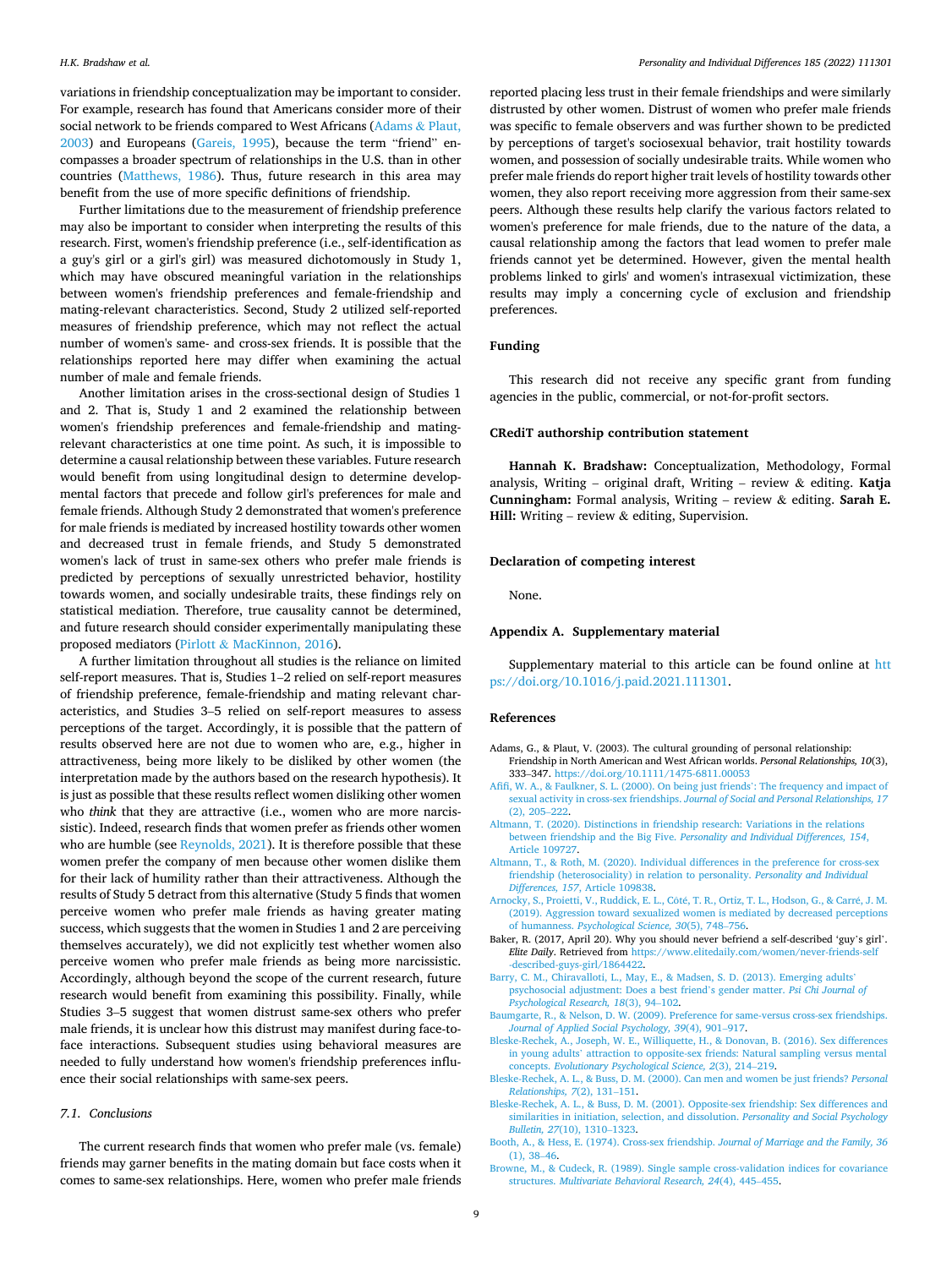<span id="page-8-0"></span>variations in friendship conceptualization may be important to consider. For example, research has found that Americans consider more of their social network to be friends compared to West Africans (Adams & Plaut, 2003) and Europeans [\(Gareis, 1995](#page-9-0)), because the term "friend" encompasses a broader spectrum of relationships in the U.S. than in other countries ([Matthews, 1986](#page-9-0)). Thus, future research in this area may benefit from the use of more specific definitions of friendship.

Further limitations due to the measurement of friendship preference may also be important to consider when interpreting the results of this research. First, women's friendship preference (i.e., self-identification as a guy's girl or a girl's girl) was measured dichotomously in Study 1, which may have obscured meaningful variation in the relationships between women's friendship preferences and female-friendship and mating-relevant characteristics. Second, Study 2 utilized self-reported measures of friendship preference, which may not reflect the actual number of women's same- and cross-sex friends. It is possible that the relationships reported here may differ when examining the actual number of male and female friends.

Another limitation arises in the cross-sectional design of Studies 1 and 2. That is, Study 1 and 2 examined the relationship between women's friendship preferences and female-friendship and matingrelevant characteristics at one time point. As such, it is impossible to determine a causal relationship between these variables. Future research would benefit from using longitudinal design to determine developmental factors that precede and follow girl's preferences for male and female friends. Although Study 2 demonstrated that women's preference for male friends is mediated by increased hostility towards other women and decreased trust in female friends, and Study 5 demonstrated women's lack of trust in same-sex others who prefer male friends is predicted by perceptions of sexually unrestricted behavior, hostility towards women, and socially undesirable traits, these findings rely on statistical mediation. Therefore, true causality cannot be determined, and future research should consider experimentally manipulating these proposed mediators (Pirlott & [MacKinnon, 2016\)](#page-9-0).

A further limitation throughout all studies is the reliance on limited self-report measures. That is, Studies 1–2 relied on self-report measures of friendship preference, female-friendship and mating relevant characteristics, and Studies 3–5 relied on self-report measures to assess perceptions of the target. Accordingly, it is possible that the pattern of results observed here are not due to women who are, e.g., higher in attractiveness, being more likely to be disliked by other women (the interpretation made by the authors based on the research hypothesis). It is just as possible that these results reflect women disliking other women who *think* that they are attractive (i.e., women who are more narcissistic). Indeed, research finds that women prefer as friends other women who are humble (see [Reynolds, 2021](#page-9-0)). It is therefore possible that these women prefer the company of men because other women dislike them for their lack of humility rather than their attractiveness. Although the results of Study 5 detract from this alternative (Study 5 finds that women perceive women who prefer male friends as having greater mating success, which suggests that the women in Studies 1 and 2 are perceiving themselves accurately), we did not explicitly test whether women also perceive women who prefer male friends as being more narcissistic. Accordingly, although beyond the scope of the current research, future research would benefit from examining this possibility. Finally, while Studies 3–5 suggest that women distrust same-sex others who prefer male friends, it is unclear how this distrust may manifest during face-toface interactions. Subsequent studies using behavioral measures are needed to fully understand how women's friendship preferences influence their social relationships with same-sex peers.

# *7.1. Conclusions*

The current research finds that women who prefer male (vs. female) friends may garner benefits in the mating domain but face costs when it comes to same-sex relationships. Here, women who prefer male friends

reported placing less trust in their female friendships and were similarly distrusted by other women. Distrust of women who prefer male friends was specific to female observers and was further shown to be predicted by perceptions of target's sociosexual behavior, trait hostility towards women, and possession of socially undesirable traits. While women who prefer male friends do report higher trait levels of hostility towards other women, they also report receiving more aggression from their same-sex peers. Although these results help clarify the various factors related to women's preference for male friends, due to the nature of the data, a causal relationship among the factors that lead women to prefer male friends cannot yet be determined. However, given the mental health problems linked to girls' and women's intrasexual victimization, these results may imply a concerning cycle of exclusion and friendship preferences.

## **Funding**

This research did not receive any specific grant from funding agencies in the public, commercial, or not-for-profit sectors.

# **CRediT authorship contribution statement**

**Hannah K. Bradshaw:** Conceptualization, Methodology, Formal analysis, Writing – original draft, Writing – review & editing. **Katja Cunningham:** Formal analysis, Writing – review & editing. **Sarah E. Hill:** Writing – review & editing, Supervision.

#### **Declaration of competing interest**

None.

## **Appendix A. Supplementary material**

Supplementary material to this article can be found online at [htt](https://doi.org/10.1016/j.paid.2021.111301)  [ps://doi.org/10.1016/j.paid.2021.111301.](https://doi.org/10.1016/j.paid.2021.111301)

#### **References**

- Adams, G., & Plaut, V. (2003). The cultural grounding of personal relationship: Friendship in North American and West African worlds. *Personal Relationships, 10*(3), 333–347. <https://doi.org/10.1111/1475-6811.00053>
- [Afifi, W. A., & Faulkner, S. L. \(2000\). On being just friends](http://refhub.elsevier.com/S0191-8869(21)00680-2/rf0010)': The frequency and impact of sexual activity in cross-sex friendships. *[Journal of Social and Personal Relationships, 17](http://refhub.elsevier.com/S0191-8869(21)00680-2/rf0010)*  [\(2\), 205](http://refhub.elsevier.com/S0191-8869(21)00680-2/rf0010)–222.
- [Altmann, T. \(2020\). Distinctions in friendship research: Variations in the relations](http://refhub.elsevier.com/S0191-8869(21)00680-2/rf0015) between friendship and the Big Five. *[Personality and Individual Differences, 154](http://refhub.elsevier.com/S0191-8869(21)00680-2/rf0015)*, [Article 109727](http://refhub.elsevier.com/S0191-8869(21)00680-2/rf0015).
- [Altmann, T., & Roth, M. \(2020\). Individual differences in the preference for cross-sex](http://refhub.elsevier.com/S0191-8869(21)00680-2/rf0020) [friendship \(heterosociality\) in relation to personality.](http://refhub.elsevier.com/S0191-8869(21)00680-2/rf0020) *Personality and Individual Differences, 157*[, Article 109838.](http://refhub.elsevier.com/S0191-8869(21)00680-2/rf0020)
- Arnocky, S., Proietti, V., Ruddick, E. L., Côté, T. R., Ortiz, T. L., Hodson, G., & Carré, J. M. [\(2019\). Aggression toward sexualized women is mediated by decreased perceptions](http://refhub.elsevier.com/S0191-8869(21)00680-2/rf0025)  of humanness. *[Psychological Science, 30](http://refhub.elsevier.com/S0191-8869(21)00680-2/rf0025)*(5), 748–756.
- Baker, R. (2017, April 20). Why you should never befriend a self-described 'guy's girl'. *Elite Daily*. Retrieved from [https://www.elitedaily.com/women/never-friends-self](https://www.elitedaily.com/women/never-friends-self-described-guys-girl/1864422)  [-described-guys-girl/1864422](https://www.elitedaily.com/women/never-friends-self-described-guys-girl/1864422).
- [Barry, C. M., Chiravalloti, L., May, E., & Madsen, S. D. \(2013\). Emerging adults](http://refhub.elsevier.com/S0191-8869(21)00680-2/rf0035)' [psychosocial adjustment: Does a best friend](http://refhub.elsevier.com/S0191-8869(21)00680-2/rf0035)'s gender matter. *Psi Chi Journal of [Psychological Research, 18](http://refhub.elsevier.com/S0191-8869(21)00680-2/rf0035)*(3), 94–102.
- [Baumgarte, R., & Nelson, D. W. \(2009\). Preference for same-versus cross-sex friendships.](http://refhub.elsevier.com/S0191-8869(21)00680-2/rf0040)  *[Journal of Applied Social Psychology, 39](http://refhub.elsevier.com/S0191-8869(21)00680-2/rf0040)*(4), 901–917.
- [Bleske-Rechek, A., Joseph, W. E., Williquette, H., & Donovan, B. \(2016\). Sex differences](http://refhub.elsevier.com/S0191-8869(21)00680-2/rf0045)  in young adults' [attraction to opposite-sex friends: Natural sampling versus mental](http://refhub.elsevier.com/S0191-8869(21)00680-2/rf0045)  concepts. *[Evolutionary Psychological Science, 2](http://refhub.elsevier.com/S0191-8869(21)00680-2/rf0045)*(3), 214–219.
- [Bleske-Rechek, A. L., & Buss, D. M. \(2000\). Can men and women be just friends?](http://refhub.elsevier.com/S0191-8869(21)00680-2/rf0050) *Personal [Relationships, 7](http://refhub.elsevier.com/S0191-8869(21)00680-2/rf0050)*(2), 131–151.
- [Bleske-Rechek, A. L., & Buss, D. M. \(2001\). Opposite-sex friendship: Sex differences and](http://refhub.elsevier.com/S0191-8869(21)00680-2/rf0055)  [similarities in initiation, selection, and dissolution.](http://refhub.elsevier.com/S0191-8869(21)00680-2/rf0055) *Personality and Social Psychology [Bulletin, 27](http://refhub.elsevier.com/S0191-8869(21)00680-2/rf0055)*(10), 1310–1323.
- [Booth, A., & Hess, E. \(1974\). Cross-sex friendship.](http://refhub.elsevier.com/S0191-8869(21)00680-2/rf0060) *Journal of Marriage and the Family, 36*  [\(1\), 38](http://refhub.elsevier.com/S0191-8869(21)00680-2/rf0060)–46.
- [Browne, M., & Cudeck, R. \(1989\). Single sample cross-validation indices for covariance](http://refhub.elsevier.com/S0191-8869(21)00680-2/rf0065)  structures. *[Multivariate Behavioral Research, 24](http://refhub.elsevier.com/S0191-8869(21)00680-2/rf0065)*(4), 445–455.